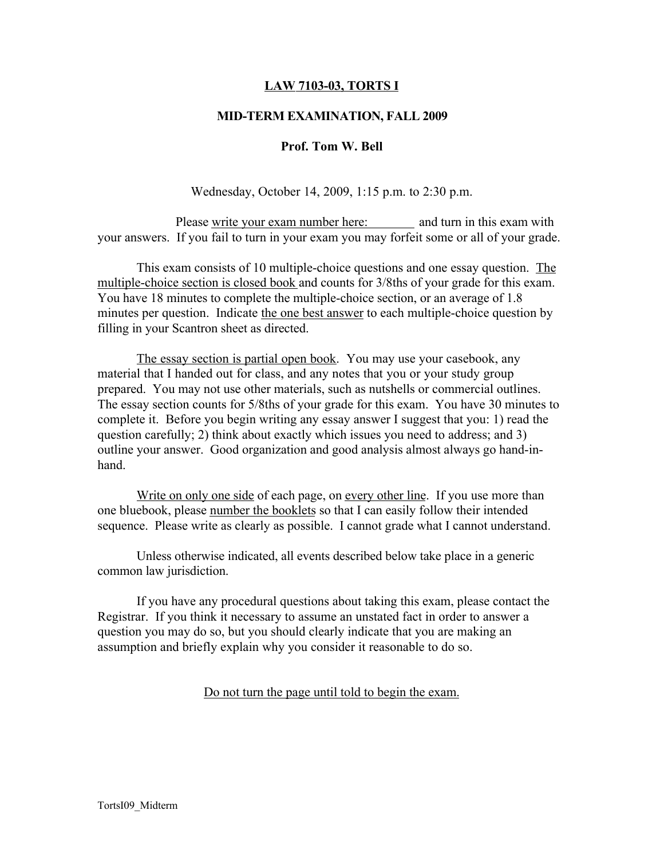## LAW 7103-03, TORTS I

### MID-TERM EXAMINATION, FALL 2009

#### Prof. Tom W. Bell

Wednesday, October 14, 2009, 1:15 p.m. to 2:30 p.m.

Please write your exam number here: and turn in this exam with your answers. If you fail to turn in your exam you may forfeit some or all of your grade.

This exam consists of 10 multiple-choice questions and one essay question. The multiple-choice section is closed book and counts for 3/8ths of your grade for this exam. You have 18 minutes to complete the multiple-choice section, or an average of 1.8 minutes per question. Indicate the one best answer to each multiple-choice question by filling in your Scantron sheet as directed.

The essay section is partial open book. You may use your casebook, any material that I handed out for class, and any notes that you or your study group prepared. You may not use other materials, such as nutshells or commercial outlines. The essay section counts for 5/8ths of your grade for this exam. You have 30 minutes to complete it. Before you begin writing any essay answer I suggest that you: 1) read the question carefully; 2) think about exactly which issues you need to address; and 3) outline your answer. Good organization and good analysis almost always go hand-inhand.

Write on only one side of each page, on every other line. If you use more than one bluebook, please number the booklets so that I can easily follow their intended sequence. Please write as clearly as possible. I cannot grade what I cannot understand.

Unless otherwise indicated, all events described below take place in a generic common law jurisdiction.

If you have any procedural questions about taking this exam, please contact the Registrar. If you think it necessary to assume an unstated fact in order to answer a question you may do so, but you should clearly indicate that you are making an assumption and briefly explain why you consider it reasonable to do so.

Do not turn the page until told to begin the exam.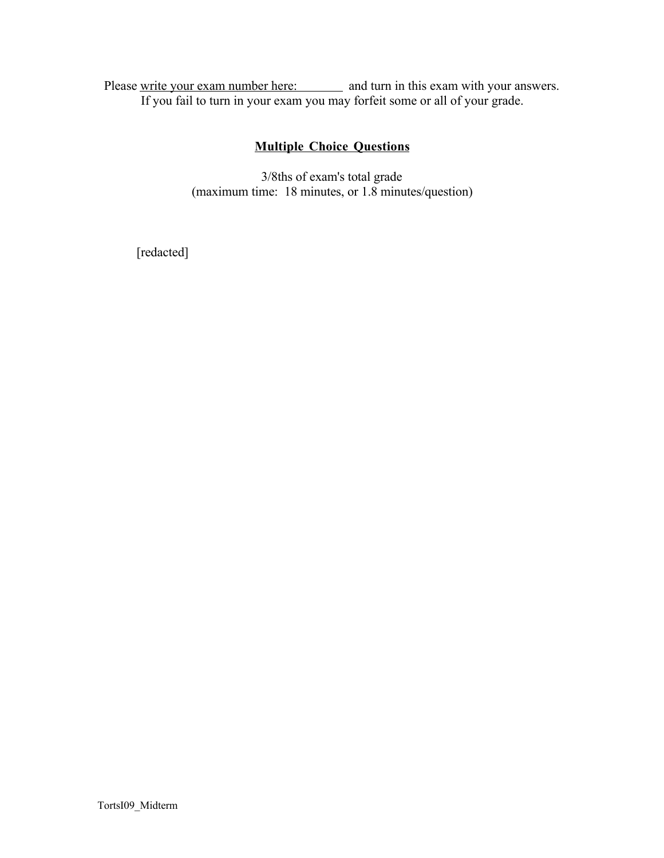Please write your exam number here: and turn in this exam with your answers. If you fail to turn in your exam you may forfeit some or all of your grade.

# Multiple Choice Questions

3/8ths of exam's total grade (maximum time: 18 minutes, or 1.8 minutes/question)

[redacted]